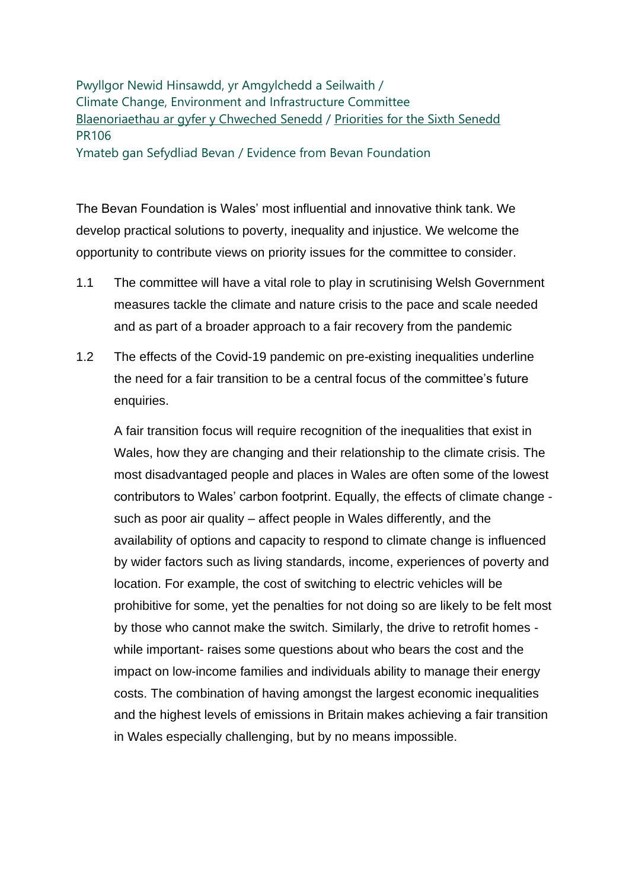Pwyllgor Newid Hinsawdd, yr Amgylchedd a Seilwaith / Climate Change, Environment and Infrastructure Committee [Blaenoriaethau ar gyfer y Chweched Senedd](https://busnes.senedd.cymru/mgConsultationDisplay.aspx?id=427&RPID=1026452002&cp=yes) / [Priorities for the Sixth Senedd](https://business.senedd.wales/mgConsultationDisplay.aspx?id=427&RPID=1026452002&cp=yes) PR106 Ymateb gan Sefydliad Bevan / Evidence from Bevan Foundation

The Bevan Foundation is Wales' most influential and innovative think tank. We develop practical solutions to poverty, inequality and injustice. We welcome the opportunity to contribute views on priority issues for the committee to consider.

- 1.1 The committee will have a vital role to play in scrutinising Welsh Government measures tackle the climate and nature crisis to the pace and scale needed and as part of a broader approach to a fair recovery from the pandemic
- 1.2 The effects of the Covid-19 pandemic on pre-existing inequalities underline the need for a fair transition to be a central focus of the committee's future enquiries.

A fair transition focus will require recognition of the inequalities that exist in Wales, how they are changing and their relationship to the climate crisis. The most disadvantaged people and places in Wales are often some of the lowest contributors to Wales' carbon footprint. Equally, the effects of climate change such as poor air quality – affect people in Wales differently, and the availability of options and capacity to respond to climate change is influenced by wider factors such as living standards, income, experiences of poverty and location. For example, the cost of switching to electric vehicles will be prohibitive for some, yet the penalties for not doing so are likely to be felt most by those who cannot make the switch. Similarly, the drive to retrofit homes while important- raises some questions about who bears the cost and the impact on low-income families and individuals ability to manage their energy costs. The combination of having amongst the largest economic inequalities and the highest levels of emissions in Britain makes achieving a fair transition in Wales especially challenging, but by no means impossible.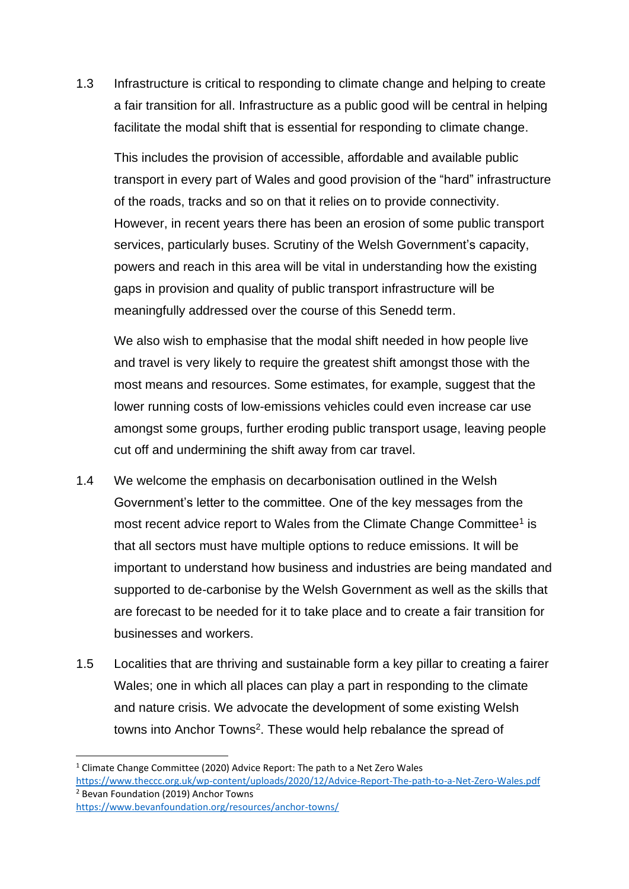1.3 Infrastructure is critical to responding to climate change and helping to create a fair transition for all. Infrastructure as a public good will be central in helping facilitate the modal shift that is essential for responding to climate change.

This includes the provision of accessible, affordable and available public transport in every part of Wales and good provision of the "hard" infrastructure of the roads, tracks and so on that it relies on to provide connectivity. However, in recent years there has been an erosion of some public transport services, particularly buses. Scrutiny of the Welsh Government's capacity, powers and reach in this area will be vital in understanding how the existing gaps in provision and quality of public transport infrastructure will be meaningfully addressed over the course of this Senedd term.

We also wish to emphasise that the modal shift needed in how people live and travel is very likely to require the greatest shift amongst those with the most means and resources. Some estimates, for example, suggest that the lower running costs of low-emissions vehicles could even increase car use amongst some groups, further eroding public transport usage, leaving people cut off and undermining the shift away from car travel.

- 1.4 We welcome the emphasis on decarbonisation outlined in the Welsh Government's letter to the committee. One of the key messages from the most recent advice report to Wales from the Climate Change Committee<sup>1</sup> is that all sectors must have multiple options to reduce emissions. It will be important to understand how business and industries are being mandated and supported to de-carbonise by the Welsh Government as well as the skills that are forecast to be needed for it to take place and to create a fair transition for businesses and workers.
- 1.5 Localities that are thriving and sustainable form a key pillar to creating a fairer Wales; one in which all places can play a part in responding to the climate and nature crisis. We advocate the development of some existing Welsh towns into Anchor Towns<sup>2</sup>. These would help rebalance the spread of

<https://www.bevanfoundation.org/resources/anchor-towns/>

<sup>&</sup>lt;sup>1</sup> Climate Change Committee (2020) Advice Report: The path to a Net Zero Wales

<https://www.theccc.org.uk/wp-content/uploads/2020/12/Advice-Report-The-path-to-a-Net-Zero-Wales.pdf> <sup>2</sup> Bevan Foundation (2019) Anchor Towns